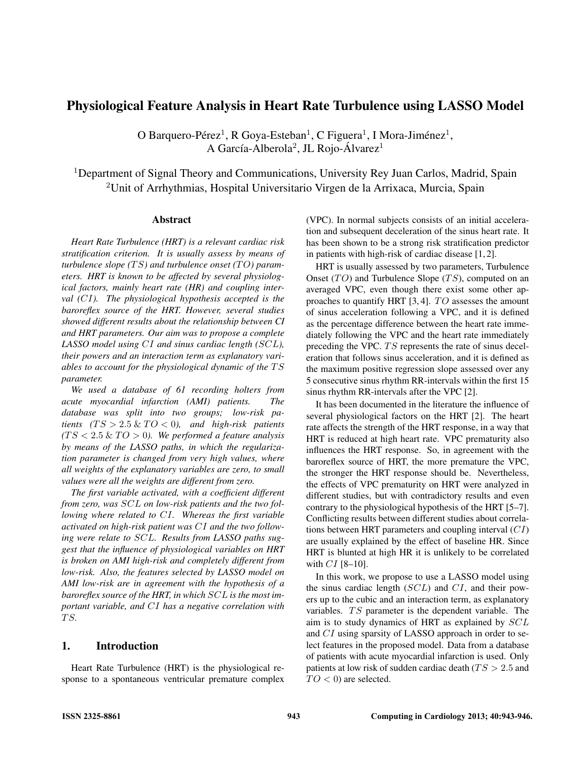# Physiological Feature Analysis in Heart Rate Turbulence using LASSO Model

O Barquero-Pérez<sup>1</sup>, R Goya-Esteban<sup>1</sup>, C Figuera<sup>1</sup>, I Mora-Jiménez<sup>1</sup>, A García-Alberola<sup>2</sup>, JL Rojo-Álvarez<sup>1</sup>

<sup>1</sup>Department of Signal Theory and Communications, University Rey Juan Carlos, Madrid, Spain <sup>2</sup>Unit of Arrhythmias, Hospital Universitario Virgen de la Arrixaca, Murcia, Spain

#### Abstract

*Heart Rate Turbulence (HRT) is a relevant cardiac risk stratification criterion. It is usually assess by means of turbulence slope* (TS) and turbulence onset (TO) param*eters. HRT is known to be affected by several physiological factors, mainly heart rate (HR) and coupling interval (*CI*). The physiological hypothesis accepted is the baroreflex source of the HRT. However, several studies showed different results about the relationship between CI and HRT parameters. Our aim was to propose a complete LASSO model using* CI *and sinus cardiac length (*SCL*), their powers and an interaction term as explanatory variables to account for the physiological dynamic of the*  $TS$ *parameter.*

*We used a database of 61 recording holters from acute myocardial infarction (AMI) patients. The database was split into two groups; low-risk patients*  $(TS > 2.5 \& TO < 0)$ , and high-risk patients  $(TS < 2.5 \& TO > 0)$ . We performed a feature analysis *by means of the LASSO paths, in which the regularization parameter is changed from very high values, where all weights of the explanatory variables are zero, to small values were all the weights are different from zero.*

*The first variable activated, with a coefficient different from zero, was* SCL *on low-risk patients and the two following where related to* CI*. Whereas the first variable activated on high-risk patient was* CI *and the two following were relate to* SCL*. Results from LASSO paths suggest that the influence of physiological variables on HRT is broken on AMI high-risk and completely different from low-risk. Also, the features selected by LASSO model on AMI low-risk are in agreement with the hypothesis of a baroreflex source of the HRT, in which* SCL *is the most important variable, and* CI *has a negative correlation with* T S*.*

### 1. Introduction

Heart Rate Turbulence (HRT) is the physiological response to a spontaneous ventricular premature complex (VPC). In normal subjects consists of an initial acceleration and subsequent deceleration of the sinus heart rate. It has been shown to be a strong risk stratification predictor in patients with high-risk of cardiac disease [1, 2].

HRT is usually assessed by two parameters, Turbulence Onset  $(TO)$  and Turbulence Slope  $(TS)$ , computed on an averaged VPC, even though there exist some other approaches to quantify HRT  $[3, 4]$ . TO assesses the amount of sinus acceleration following a VPC, and it is defined as the percentage difference between the heart rate immediately following the VPC and the heart rate immediately preceding the VPC. TS represents the rate of sinus deceleration that follows sinus acceleration, and it is defined as the maximum positive regression slope assessed over any 5 consecutive sinus rhythm RR-intervals within the first 15 sinus rhythm RR-intervals after the VPC [2].

It has been documented in the literature the influence of several physiological factors on the HRT [2]. The heart rate affects the strength of the HRT response, in a way that HRT is reduced at high heart rate. VPC prematurity also influences the HRT response. So, in agreement with the baroreflex source of HRT, the more premature the VPC, the stronger the HRT response should be. Nevertheless, the effects of VPC prematurity on HRT were analyzed in different studies, but with contradictory results and even contrary to the physiological hypothesis of the HRT [5–7]. Conflicting results between different studies about correlations between HRT parameters and coupling interval  $(CI)$ are usually explained by the effect of baseline HR. Since HRT is blunted at high HR it is unlikely to be correlated with  $CI$  [8-10].

In this work, we propose to use a LASSO model using the sinus cardiac length  $(SCL)$  and  $CI$ , and their powers up to the cubic and an interaction term, as explanatory variables. TS parameter is the dependent variable. The aim is to study dynamics of HRT as explained by SCL and CI using sparsity of LASSO approach in order to select features in the proposed model. Data from a database of patients with acute myocardial infarction is used. Only patients at low risk of sudden cardiac death ( $TS > 2.5$  and  $TO < 0$ ) are selected.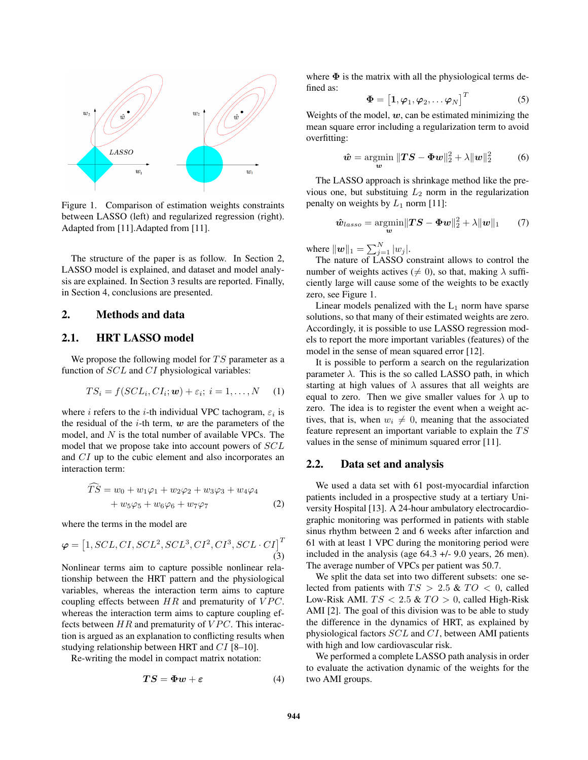

Figure 1. Comparison of estimation weights constraints between LASSO (left) and regularized regression (right). Adapted from [11].Adapted from [11].

The structure of the paper is as follow. In Section 2, LASSO model is explained, and dataset and model analysis are explained. In Section 3 results are reported. Finally, in Section 4, conclusions are presented.

### 2. Methods and data

# 2.1. HRT LASSO model

We propose the following model for  $TS$  parameter as a function of SCL and CI physiological variables:

$$
TS_i = f(SCL_i, CI_i; \mathbf{w}) + \varepsilon_i; \ i = 1, ..., N \quad (1)
$$

where *i* refers to the *i*-th individual VPC tachogram,  $\varepsilon_i$  is the residual of the  $i$ -th term,  $w$  are the parameters of the model, and  $N$  is the total number of available VPCs. The model that we propose take into account powers of SCL and CI up to the cubic element and also incorporates an interaction term:

$$
TS = w_0 + w_1\varphi_1 + w_2\varphi_2 + w_3\varphi_3 + w_4\varphi_4 + w_5\varphi_5 + w_6\varphi_6 + w_7\varphi_7
$$
 (2)

where the terms in the model are

$$
\varphi = \left[1, SCL, CI, SCL^2, SCL^3, CI^2, CI^3, SCL \cdot CI\right]^T
$$
\n(3)

Nonlinear terms aim to capture possible nonlinear relationship between the HRT pattern and the physiological variables, whereas the interaction term aims to capture coupling effects between  $HR$  and prematurity of  $VPC$ . whereas the interaction term aims to capture coupling effects between  $HR$  and prematurity of  $VPC$ . This interaction is argued as an explanation to conflicting results when studying relationship between HRT and CI [8–10].

Re-writing the model in compact matrix notation:

$$
TS = \Phi w + \varepsilon \tag{4}
$$

where  $\Phi$  is the matrix with all the physiological terms defined as:

$$
\mathbf{\Phi} = \begin{bmatrix} 1, \boldsymbol{\varphi}_1, \boldsymbol{\varphi}_2, \dots, \boldsymbol{\varphi}_N \end{bmatrix}^T
$$
 (5)

Weights of the model,  $w$ , can be estimated minimizing the mean square error including a regularization term to avoid overfitting:

$$
\hat{\boldsymbol{w}} = \operatorname*{argmin}_{\boldsymbol{w}} \|\boldsymbol{T}\boldsymbol{S} - \boldsymbol{\Phi}\boldsymbol{w}\|_2^2 + \lambda \|\boldsymbol{w}\|_2^2 \tag{6}
$$

The LASSO approach is shrinkage method like the previous one, but substituing  $L_2$  norm in the regularization penalty on weights by  $L_1$  norm [11]:

$$
\hat{\boldsymbol{w}}_{lasso} = \underset{\boldsymbol{w}}{\operatorname{argmin}} \|\boldsymbol{T}\boldsymbol{S} - \boldsymbol{\Phi}\boldsymbol{w}\|_2^2 + \lambda \|\boldsymbol{w}\|_1 \qquad (7)
$$

where  $\|\bm{w}\|_1 = \sum_{j=1}^{N} |w_j|$ .

The nature of LASSO constraint allows to control the number of weights actives ( $\neq$  0), so that, making  $\lambda$  sufficiently large will cause some of the weights to be exactly zero, see Figure 1.

Linear models penalized with the  $L_1$  norm have sparse solutions, so that many of their estimated weights are zero. Accordingly, it is possible to use LASSO regression models to report the more important variables (features) of the model in the sense of mean squared error [12].

It is possible to perform a search on the regularization parameter  $\lambda$ . This is the so called LASSO path, in which starting at high values of  $\lambda$  assures that all weights are equal to zero. Then we give smaller values for  $\lambda$  up to zero. The idea is to register the event when a weight actives, that is, when  $w_i \neq 0$ , meaning that the associated feature represent an important variable to explain the  $TS$ values in the sense of minimum squared error [11].

## 2.2. Data set and analysis

We used a data set with 61 post-myocardial infarction patients included in a prospective study at a tertiary University Hospital [13]. A 24-hour ambulatory electrocardiographic monitoring was performed in patients with stable sinus rhythm between 2 and 6 weeks after infarction and 61 with at least 1 VPC during the monitoring period were included in the analysis (age 64.3 +/- 9.0 years, 26 men). The average number of VPCs per patient was 50.7.

We split the data set into two different subsets: one selected from patients with  $TS > 2.5 \& TO < 0$ , called Low-Risk AMI.  $TS < 2.5 \& TO > 0$ , called High-Risk AMI [2]. The goal of this division was to be able to study the difference in the dynamics of HRT, as explained by physiological factors SCL and CI, between AMI patients with high and low cardiovascular risk.

We performed a complete LASSO path analysis in order to evaluate the activation dynamic of the weights for the two AMI groups.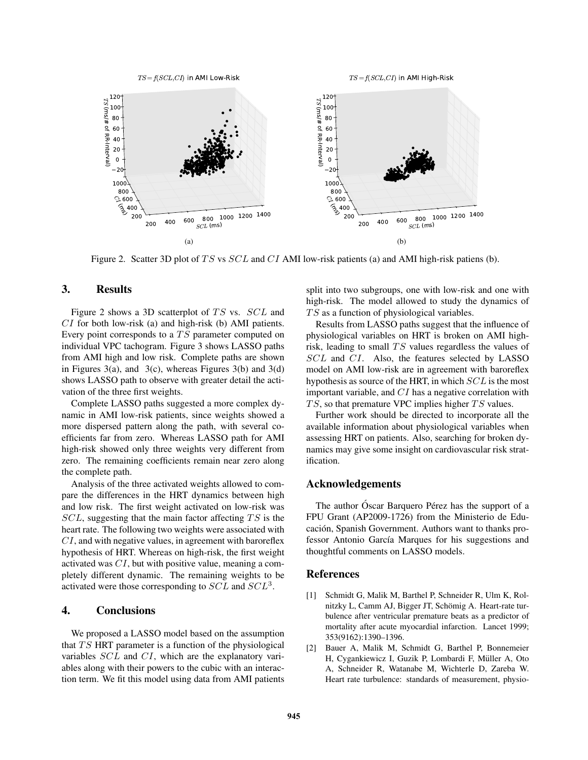

 $\mathit{TS}\!=\!f(\mathit{SCL},\mathit{CI})$  in AMI High-Risk



Figure 2. Scatter 3D plot of TS vs  $SCL$  and CI AMI low-risk patients (a) and AMI high-risk patiens (b).

### 3. Results

Figure 2 shows a 3D scatterplot of  $TS$  vs.  $SCL$  and  $CI$  for both low-risk (a) and high-risk (b) AMI patients. Every point corresponds to a  $TS$  parameter computed on individual VPC tachogram. Figure 3 shows LASSO paths from AMI high and low risk. Complete paths are shown in Figures 3(a), and 3(c), whereas Figures 3(b) and 3(d) shows LASSO path to observe with greater detail the activation of the three first weights.

Complete LASSO paths suggested a more complex dynamic in AMI low-risk patients, since weights showed a more dispersed pattern along the path, with several coefficients far from zero. Whereas LASSO path for AMI high-risk showed only three weights very different from zero. The remaining coefficients remain near zero along the complete path.

Analysis of the three activated weights allowed to compare the differences in the HRT dynamics between high and low risk. The first weight activated on low-risk was  $SCL$ , suggesting that the main factor affecting  $TS$  is the heart rate. The following two weights were associated with  $CI$ , and with negative values, in agreement with baroreflex hypothesis of HRT. Whereas on high-risk, the first weight activated was CI, but with positive value, meaning a completely different dynamic. The remaining weights to be activated were those corresponding to  $SCL$  and  $SCL<sup>3</sup>$ .

### 4. Conclusions

We proposed a LASSO model based on the assumption that  $TS$  HRT parameter is a function of the physiological variables SCL and CI, which are the explanatory variables along with their powers to the cubic with an interaction term. We fit this model using data from AMI patients split into two subgroups, one with low-risk and one with high-risk. The model allowed to study the dynamics of  $TS$  as a function of physiological variables.

Results from LASSO paths suggest that the influence of physiological variables on HRT is broken on AMI highrisk, leading to small  $TS$  values regardless the values of SCL and CI. Also, the features selected by LASSO model on AMI low-risk are in agreement with baroreflex hypothesis as source of the HRT, in which SCL is the most important variable, and CI has a negative correlation with  $TS$ , so that premature VPC implies higher  $TS$  values.

Further work should be directed to incorporate all the available information about physiological variables when assessing HRT on patients. Also, searching for broken dynamics may give some insight on cardiovascular risk stratification.

#### Acknowledgements

The author Óscar Barquero Pérez has the support of a FPU Grant (AP2009-1726) from the Ministerio de Educación, Spanish Government. Authors want to thanks professor Antonio García Marques for his suggestions and thoughtful comments on LASSO models.

### References

- [1] Schmidt G, Malik M, Barthel P, Schneider R, Ulm K, Rolnitzky L, Camm AJ, Bigger JT, Schömig A. Heart-rate turbulence after ventricular premature beats as a predictor of mortality after acute myocardial infarction. Lancet 1999; 353(9162):1390–1396.
- [2] Bauer A, Malik M, Schmidt G, Barthel P, Bonnemeier H, Cygankiewicz I, Guzik P, Lombardi F, Müller A, Oto A, Schneider R, Watanabe M, Wichterle D, Zareba W. Heart rate turbulence: standards of measurement, physio-